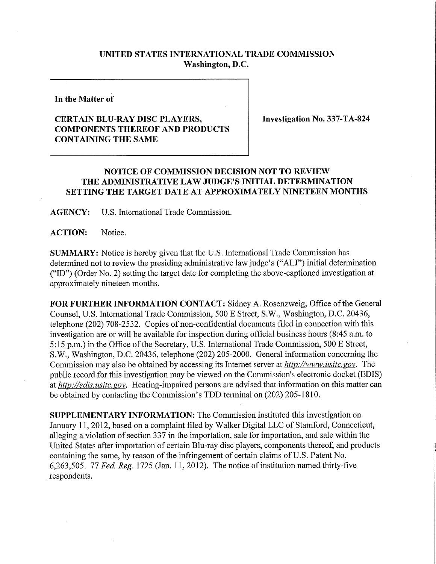## **UNITED STATES INTERNATIONAL TRADE COMMISSION Washington, D.C.**

**In the Matter of** 

## **CERTAIN BLU-RAY DISC PLAYERS, COMPONENTS THEREOF AND PRODUCTS CONTAINING THE SAME**

**Investigation No. 337-TA-824** 

## **NOTICE OF COMMISSION DECISION NOT TO REVIEW T HE ADMINISTRATIVE LAW JUDGE'S INITIAL DETERMINATION SETTING THE TARGET DATE AT APPROXIMATELY NINETEEN MONTHS**

**AGENCY: U.S.** International Trade Commission.

ACTION: Notice.

**SUMMARY:** Notice is hereby given that the U.S. International Trade Commission has determined not to review the presiding administrative law judge's ("ALJ") initial determination ("ID") (Order No. 2) setting the target date for completing the above-captioned investigation at approximately nineteen months.

FOR FURTHER INFORMATION CONTACT: Sidney A. Rosenzweig, Office of the General Counsel, U.S. International Trade Commission, 500 E Street, S.W., Washington, D.C. 20436, telephone (202) 708-2532. Copies of non-confidential documents filed in connection with this investigation are or will be available for inspection during official business hours (8:45 a.m. to 5:15 p.m.) in the Office of the Secretary, U.S. International Trade Commission, 500 E Street, S.W., Washington, D.C. 20436, telephone (202) 205-2000. General information concerning the Commission may also be obtained by accessing its Internet server at *http://www. usitc. gov.* The public record for this investigation may be viewed on the Commission's electronic docket (EDIS) at *http://edis. usitc. gov.* Hearing-impaired persons are advised that information on this matter can be obtained by contacting the Commission's TDD terminal on (202) 205-1810.

**SUPPLEMENTARY INFORMATION:** The Commission instituted this investigation on January 11, 2012, based on a complaint filed by Walker Digital LLC of Stamford, Connecticut, alleging a violation of section 337 in the importation, sale for importation, and sale within the United States after importation of certain Blu-ray disc players, components thereof, and products containing the same, by reason of the infringement of certain claims of U.S. Patent No. 6,263,505. *11 Fed, Reg.* 1725 (Jan. 11, 2012). The notice of institution named thirty-five respondents.